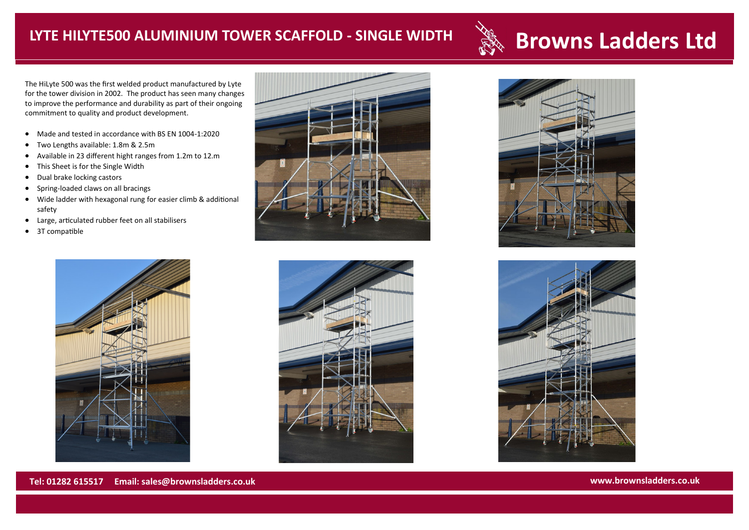## **Browns Ladders Ltd LYTE HILYTE500 ALUMINIUM TOWER SCAFFOLD - SINGLE WIDTH**

The HiLyte 500 was the first welded product manufactured by Lyte for the tower division in 2002. The product has seen many changes to improve the performance and durability as part of their ongoing commitment to quality and product development.

- Made and tested in accordance with BS EN 1004-1:2020
- Two Lengths available: 1.8m & 2.5m
- Available in 23 different hight ranges from 1.2m to 12.m
- This Sheet is for the Single Width
- Dual brake locking castors
- Spring-loaded claws on all bracings
- Wide ladder with hexagonal rung for easier climb & additional safety
- Large, articulated rubber feet on all stabilisers
- 3T compatible